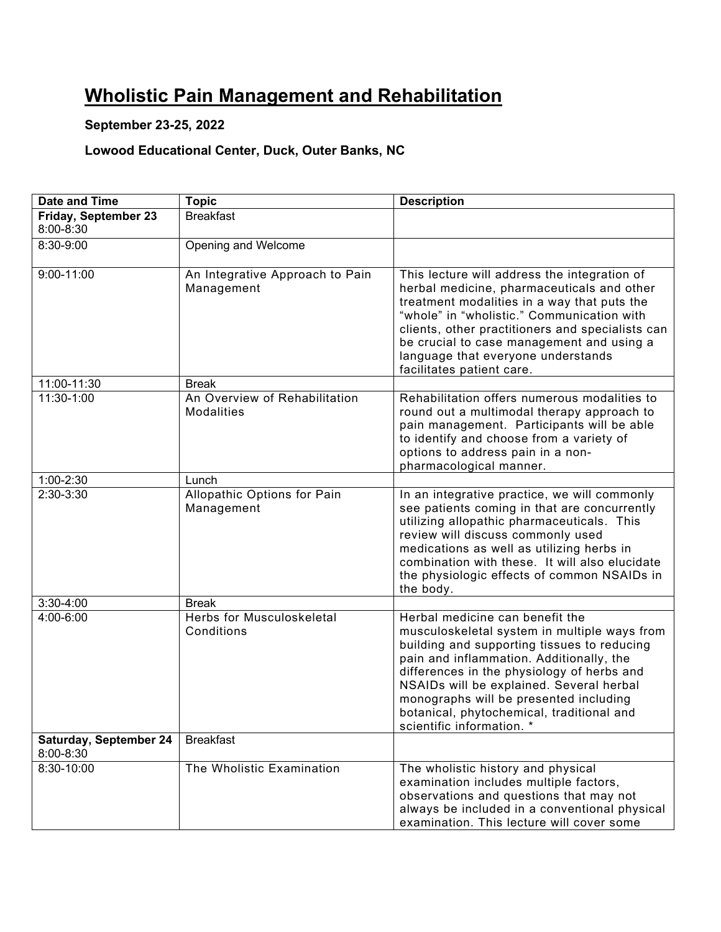## **Wholistic Pain Management and Rehabilitation**

#### **September 23-25, 2022**

### **Lowood Educational Center, Duck, Outer Banks, NC**

| Date and Time                       | <b>Topic</b>                                       | <b>Description</b>                                                                                                                                                                                                                                                                                                                                                                       |
|-------------------------------------|----------------------------------------------------|------------------------------------------------------------------------------------------------------------------------------------------------------------------------------------------------------------------------------------------------------------------------------------------------------------------------------------------------------------------------------------------|
| Friday, September 23<br>8:00-8:30   | <b>Breakfast</b>                                   |                                                                                                                                                                                                                                                                                                                                                                                          |
| 8:30-9:00                           | Opening and Welcome                                |                                                                                                                                                                                                                                                                                                                                                                                          |
| $9:00 - 11:00$                      | An Integrative Approach to Pain<br>Management      | This lecture will address the integration of<br>herbal medicine, pharmaceuticals and other<br>treatment modalities in a way that puts the<br>"whole" in "wholistic." Communication with<br>clients, other practitioners and specialists can<br>be crucial to case management and using a<br>language that everyone understands<br>facilitates patient care.                              |
| 11:00-11:30                         | <b>Break</b>                                       |                                                                                                                                                                                                                                                                                                                                                                                          |
| 11:30-1:00                          | An Overview of Rehabilitation<br><b>Modalities</b> | Rehabilitation offers numerous modalities to<br>round out a multimodal therapy approach to<br>pain management. Participants will be able<br>to identify and choose from a variety of<br>options to address pain in a non-<br>pharmacological manner.                                                                                                                                     |
| 1:00-2:30                           | Lunch                                              |                                                                                                                                                                                                                                                                                                                                                                                          |
| 2:30-3:30                           | Allopathic Options for Pain<br>Management          | In an integrative practice, we will commonly<br>see patients coming in that are concurrently<br>utilizing allopathic pharmaceuticals. This<br>review will discuss commonly used<br>medications as well as utilizing herbs in<br>combination with these. It will also elucidate<br>the physiologic effects of common NSAIDs in<br>the body.                                               |
| 3:30-4:00                           | <b>Break</b>                                       |                                                                                                                                                                                                                                                                                                                                                                                          |
| 4:00-6:00                           | <b>Herbs for Musculoskeletal</b><br>Conditions     | Herbal medicine can benefit the<br>musculoskeletal system in multiple ways from<br>building and supporting tissues to reducing<br>pain and inflammation. Additionally, the<br>differences in the physiology of herbs and<br>NSAIDs will be explained. Several herbal<br>monographs will be presented including<br>botanical, phytochemical, traditional and<br>scientific information. * |
| Saturday, September 24<br>8:00-8:30 | <b>Breakfast</b>                                   |                                                                                                                                                                                                                                                                                                                                                                                          |
| 8:30-10:00                          | The Wholistic Examination                          | The wholistic history and physical<br>examination includes multiple factors,<br>observations and questions that may not<br>always be included in a conventional physical<br>examination. This lecture will cover some                                                                                                                                                                    |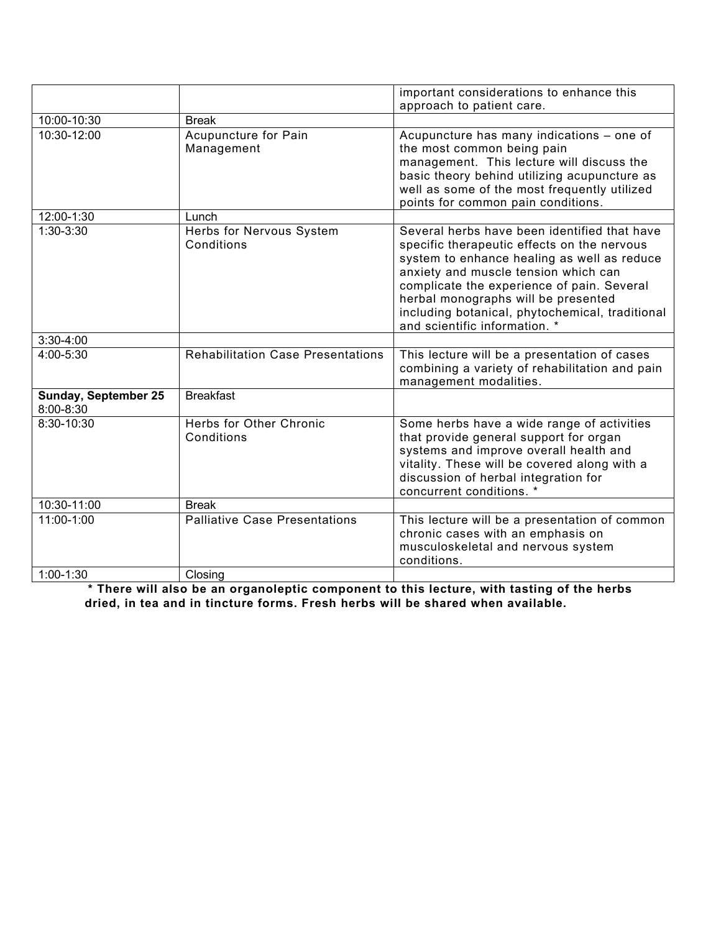|                                          |                                          | important considerations to enhance this                                                                                                                                                                                                                                                                                                                    |
|------------------------------------------|------------------------------------------|-------------------------------------------------------------------------------------------------------------------------------------------------------------------------------------------------------------------------------------------------------------------------------------------------------------------------------------------------------------|
|                                          |                                          | approach to patient care.                                                                                                                                                                                                                                                                                                                                   |
| 10:00-10:30                              | <b>Break</b>                             |                                                                                                                                                                                                                                                                                                                                                             |
| 10:30-12:00                              | Acupuncture for Pain<br>Management       | Acupuncture has many indications - one of<br>the most common being pain<br>management. This lecture will discuss the<br>basic theory behind utilizing acupuncture as<br>well as some of the most frequently utilized<br>points for common pain conditions.                                                                                                  |
| 12:00-1:30                               | Lunch                                    |                                                                                                                                                                                                                                                                                                                                                             |
| 1:30-3:30                                | Herbs for Nervous System<br>Conditions   | Several herbs have been identified that have<br>specific therapeutic effects on the nervous<br>system to enhance healing as well as reduce<br>anxiety and muscle tension which can<br>complicate the experience of pain. Several<br>herbal monographs will be presented<br>including botanical, phytochemical, traditional<br>and scientific information. * |
| 3:30-4:00                                |                                          |                                                                                                                                                                                                                                                                                                                                                             |
| 4:00-5:30                                | <b>Rehabilitation Case Presentations</b> | This lecture will be a presentation of cases<br>combining a variety of rehabilitation and pain<br>management modalities.                                                                                                                                                                                                                                    |
| <b>Sunday, September 25</b><br>8:00-8:30 | <b>Breakfast</b>                         |                                                                                                                                                                                                                                                                                                                                                             |
| 8:30-10:30                               | Herbs for Other Chronic<br>Conditions    | Some herbs have a wide range of activities<br>that provide general support for organ<br>systems and improve overall health and<br>vitality. These will be covered along with a<br>discussion of herbal integration for<br>concurrent conditions. *                                                                                                          |
| 10:30-11:00                              | <b>Break</b>                             |                                                                                                                                                                                                                                                                                                                                                             |
| 11:00-1:00                               | <b>Palliative Case Presentations</b>     | This lecture will be a presentation of common<br>chronic cases with an emphasis on<br>musculoskeletal and nervous system<br>conditions.                                                                                                                                                                                                                     |
| $1:00-1:30$                              | Closing                                  |                                                                                                                                                                                                                                                                                                                                                             |

**\* There will also be an organoleptic component to this lecture, with tasting of the herbs dried, in tea and in tincture forms. Fresh herbs will be shared when available.**